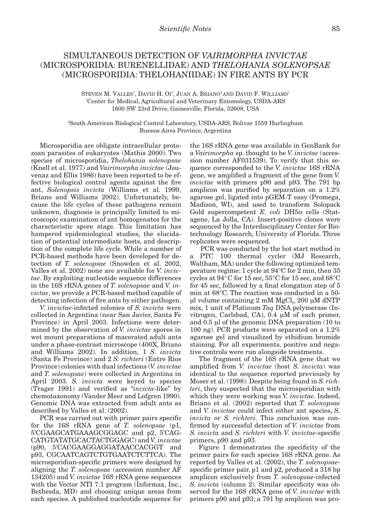## SIMULTANEOUS DETECTION OF *VAIRIMORPHA INVICTAE* (MICROSPORIDIA: BURENELLIDAE) AND *THELOHANIA SOLENOPSAE*  (MICROSPORIDIA: THELOHANIIDAE) IN FIRE ANTS BY PCR

STEVEN M. VALLES<sup>1</sup>, DAVID H. OI<sup>1</sup>, JUAN A. BRIANO<sup>2</sup> AND DAVID F. WILLIAMS<sup>1</sup> 1 Center for Medical, Agricultural and Veterinary Entomology, USDA-ARS 1600 SW 23rd Drive, Gainesville, Florida, 32608, USA

2 South American Biological Control Laboratory, USDA-ARS, Bolivar 1559 Hurlingham Buenos Aires Province, Argentina

Microsporidia are obligate intracellular protozoan parasites of eukaryotes (Mathis 2000). Two species of microsporidia, *Thelohania solenopsae* (Knell et al. 1977) and *Vairimorpha invictae* (Jouvenaz and Ellis 1986) have been reported to be effective biological control agents against the fire ant, *Solenopsis invicta* (Williams et al. 1999, Briano and Williams 2002). Unfortunately, because the life cycles of these pathogens remain unknown, diagnosis is principally limited to microscopic examination of ant homogenates for the characteristic spore stage. This limitation has hampered epidemiological studies, the elucidation of potential intermediate hosts, and description of the complete life cycle. While a number of PCR-based methods have been developed for detection of *T. solenopsae* (Snowden et al. 2002, Valles et al. 2002) none are available for *V. invictae*. By exploiting nucleotide sequence differences in the 16S rRNA genes of *T. solenopsae* and *V. invictae*, we provide a PCR-based method capable of detecting infection of fire ants by either pathogen.

*V. invictae*-infected colonies of *S. invicta* were collected in Argentina (near San Javier, Santa Fe Province) in April 2003. Infections were determined by the observation of *V. invictae* spores in wet mount preparations of macerated adult ants under a phase-contrast microscope (400X, Briano and Williams 2002). In addition, 1 *S. invicta* (Santa Fe Province) and 2 *S. richteri* (Entre Rios Province) colonies with dual infections (*V. invictae* and *T. solenopsae*) were collected in Argentina in April 2003. *S. invicta* were keyed to species (Trager 1991) and verified as "*invicta*-like" by chemotaxonomy (Vander Meer and Lofgren 1990). Genomic DNA was extracted from adult ants as described by Valles et al. (2002).

PCR was carried out with primer pairs specific for the 16S rRNA gene of *T. solenopsae* (p1, 5'CGAAGCATGAAAGCGGAGC and p2, 5'CAG-CATGTATATGCACTACTGGAGC) and *V. invictae* (p90, 5'CACGAAGGAGGATAACCACGGT and p93, CGCAATCAGTCTGTGAATCTCTTCA). The microsporidian-specific primers were designed by aligning the *T. solenopsae* (accession number AF 134205) and *V. invictae* 16S rRNA gene sequences with the Vector NTI 7.1 program (Informax, Inc., Bethesda, MD) and choosing unique areas from each species. A published nucleotide sequence for

the 16S rRNA gene was available in GenBank for a *Vairimorpha* sp. thought to be *V. invictae* (accession number AF031539). To verify that this sequence corresponded to the *V. invictae* 16S rRNA gene, we amplified a fragment of the gene from *V. invictae* with primers p90 and p93. The 791 bp amplicon was purified by separation on a 1.2% agarose gel, ligated into pGEM-T easy (Promega, Madison, WI), and used to transform Solopack Gold supercompetent *E. coli* DH5α cells (Statagene, La Jolla, CA). Insert-positive clones were sequenced by the Interdisciplinary Center for Biotechnology Research, University of Florida. Three replicates were sequenced.

PCR was conducted by the hot start method in a PTC 100 thermal cycler (MJ Research, Waltham, MA) under the following optimized temperature regime: 1 cycle at 94°C for 2 min, then 35 cycles at 94°C for 15 sec, 55°C for 15 sec, and 68°C for 45 sec, followed by a final elongation step of 5 min at 68°C. The reaction was conducted in a 50-  $\mu$ l volume containing 2 mM MgCl<sub>2</sub>, 200  $\mu$ M dNTP mix, 1 unit of Platinum *Taq* DNA polymerase (Invitrogen, Carlsbad, CA), 0.4 µM of each primer, and 0.5 µl of the genomic DNA preparation (10 to 100 ng). PCR products were separated on a 1.2% agarose gel and visualized by ethidium bromide staining. For all experiments, positive and negative controls were run alongside treatments.

The fragment of the 16S rRNA gene that we amplified from *V. invictae* (host *S. invicta*) was identical to the sequence reported previously by Moser et al. (1998). Despite being found in *S. richteri*, they suspected that the microsporidian with which they were working was *V. invictae*. Indeed, Briano et al. (2002) reported that *T. solenopsae* and *V. invictae* could infect either ant species, *S. invicta* or *S. richteri*. This conclusion was confirmed by successful detection of *V. invictae* from *S. invicta* and *S. richteri* with *V. invictae*-specific primers, p90 and p93.

Figure 1 demonstrates the specificity of the primer pairs for each species 16S rRNA gene. As reported by Valles et al. (2002), the *T. solenopsae*specific primer pair, p1 and p2, produced a 318 bp amplicon exclusively from *T. solenopsae*-infected *S. invicta* (column 2). Similar specificity was observed for the 16S rRNA gene of *V. invictae* with primers p90 and p93; a 791 bp amplicon was pro-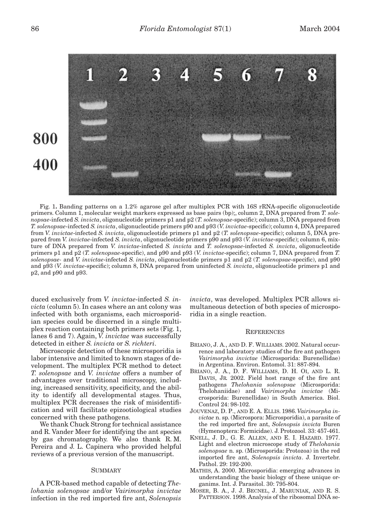

Fig. 1**.** Banding patterns on a 1.2% agarose gel after multiplex PCR with 16S rRNA-specific oligonucleotide primers. Column 1, molecular weight markers expressed as base pairs (bp);, column 2, DNA prepared from *T. solenopsae*-infected *S. invicta*, oligonucleotide primers p1 and p2 (*T. solenopsae*-specific); column 3, DNA prepared from *T. solenopsae*-infected *S. invicta*, oligonucleotide primers p90 and p93 (*V. invictae*-specific); column 4, DNA prepared from *V. invictae*-infected *S. invicta*, oligonucleotide primers p1 and p2 (*T. solenopsae*-specific); column 5, DNA prepared from *V. invictae*-infected *S. invicta*, oligonucleotide primers p90 and p93 (*V. invictae*-specific); column 6, mixture of DNA prepared from *V. invictae*-infected *S. invicta* and *T. solenopsae*-infected *S. invicta*, oligonucleotide primers p1 and p2 (*T. solenopsae*-specific), and p90 and p93 (*V. invictae*-specific); column 7, DNA prepared from *T. solenopsae-* and *V. invictae*-infected *S. invicta*, oligonucleotide primers p1 and p2 (*T. solenopsae*-specific), and p90 and p93 (*V. invictae*-specific); column 8, DNA prepared from uninfected *S. invicta*, oligonucleotide primers p1 and p2, and p90 and p93.

duced exclusively from *V. invictae*-infected *S. invicta* (column 5). In cases where an ant colony was infected with both organisms, each microsporidian species could be discerned in a single multiplex reaction containing both primers sets (Fig. 1, lanes 6 and 7). Again, *V. invictae* was successfully detected in either *S. invicta* or *S. richteri*.

Microscopic detection of these microsporidia is labor intensive and limited to known stages of development. The multiplex PCR method to detect *T. solenopsae* and *V. invictae* offers a number of advantages over traditional microscopy, including, increased sensitivity, specificity, and the ability to identify all developmental stages. Thus, multiplex PCR decreases the risk of misidentification and will facilitate epizootiological studies concerned with these pathogens.

We thank Chuck Strong for technical assistance and R. Vander Meer for identifying the ant species by gas chromatography. We also thank R. M. Pereira and J. L. Capinera who provided helpful reviews of a previous version of the manuscript.

## **SUMMARY**

A PCR-based method capable of detecting *Thelohania solenopsae* and/or *Vairimorpha invictae* infection in the red imported fire ant, *Solenopsis* *invicta*, was developed. Multiplex PCR allows simultaneous detection of both species of microsporidia in a single reaction.

## **REFERENCES**

- BRIANO, J. A., AND D. F. WILLIAMS. 2002. Natural occurrence and laboratory studies of the fire ant pathogen *Vairimorpha invictae* (Microsporida: Burenellidae) in Argentina. Environ. Entomol. 31: 887-894.
- BRIANO, J. A., D. F. WILLIAMS, D. H. OI, AND L. R. DAVIS, JR. 2002. Field host range of the fire ant pathogens *Thelohania solenopsae* (Microsporida: Thelohaniidae) and *Vairimorpha invictae* (Microsporida: Burenellidae) in South America. Biol. Control 24: 98-102.
- JOUVENAZ, D. P., AND E. A. ELLIS. 1986. *Vairimorpha invictae* n. sp. (Microspora: Microsporidia), a parasite of the red imported fire ant, *Solenopsis invicta* Buren (Hymenoptera: Formicidae). J. Protozool. 33: 457-461.
- KNELL, J. D., G. E. ALLEN, AND E. I. HAZARD. 1977. Light and electron microscope study of *Thelohania solenopsae* n. sp. (Microsporida: Protozoa) in the red imported fire ant, *Solenopsis invicta*. J. Invertebr. Pathol. 29: 192-200.
- MATHIS, A. 2000. Microsporidia: emerging advances in understanding the basic biology of these unique organims. Int. J. Parasitol. 30: 795-804.
- MOSER, B. A., J. J. BECNEL, J. MARUNIAK, AND R. S. PATTERSON. 1998. Analysis of the ribosomal DNA se-